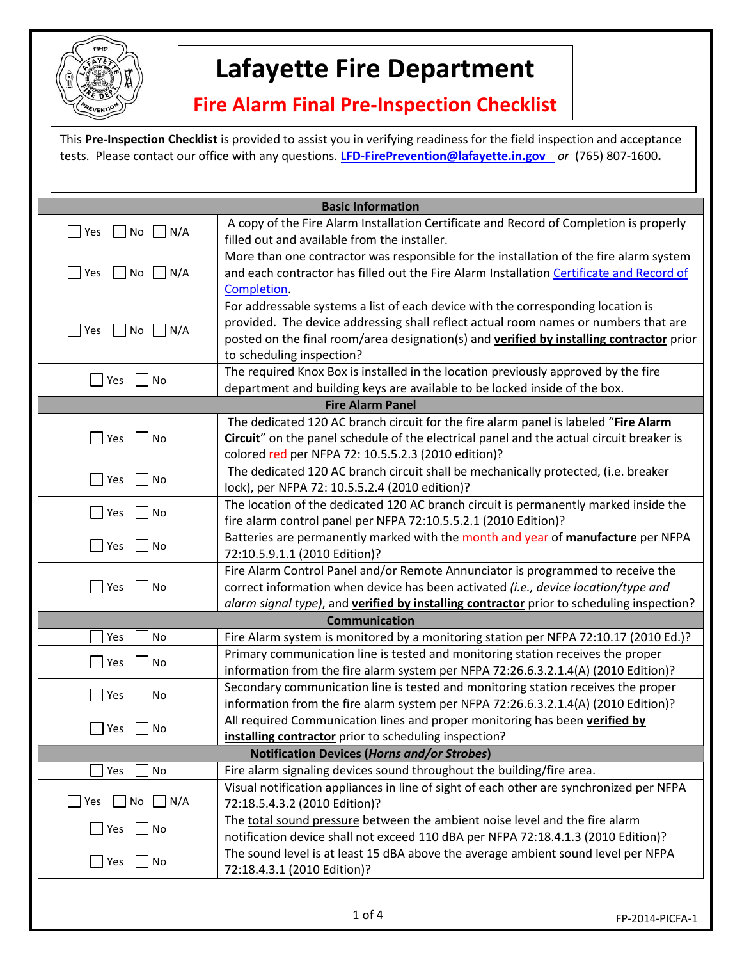

## **Lafayette Fire Department**

## **Fire Alarm Final Pre-Inspection Checklist**

This **Pre-Inspection Checklist** is provided to assist you in verifying readiness for the field inspection and acceptance tests. Please contact our office with any questions. **LFD‐FirePrevention@lafayette.in.gov** *or* (765) 807‐1600**.**

| <b>Basic Information</b>                     |                                                                                                                                                                                                                                                                                                  |  |
|----------------------------------------------|--------------------------------------------------------------------------------------------------------------------------------------------------------------------------------------------------------------------------------------------------------------------------------------------------|--|
| Yes<br>No<br>N/A                             | A copy of the Fire Alarm Installation Certificate and Record of Completion is properly<br>filled out and available from the installer.                                                                                                                                                           |  |
| $\Box$ No $\Box$ N/A<br>Yes                  | More than one contractor was responsible for the installation of the fire alarm system<br>and each contractor has filled out the Fire Alarm Installation Certificate and Record of<br>Completion.                                                                                                |  |
| $\Box$ No $\Box$ N/A<br>$\blacksquare$ Yes   | For addressable systems a list of each device with the corresponding location is<br>provided. The device addressing shall reflect actual room names or numbers that are<br>posted on the final room/area designation(s) and verified by installing contractor prior<br>to scheduling inspection? |  |
| Yes<br>No                                    | The required Knox Box is installed in the location previously approved by the fire<br>department and building keys are available to be locked inside of the box.                                                                                                                                 |  |
| <b>Fire Alarm Panel</b>                      |                                                                                                                                                                                                                                                                                                  |  |
| Yes<br>No                                    | The dedicated 120 AC branch circuit for the fire alarm panel is labeled "Fire Alarm<br>Circuit" on the panel schedule of the electrical panel and the actual circuit breaker is<br>colored red per NFPA 72: 10.5.5.2.3 (2010 edition)?                                                           |  |
| $\blacksquare$<br>Yes<br>No                  | The dedicated 120 AC branch circuit shall be mechanically protected, (i.e. breaker<br>lock), per NFPA 72: 10.5.5.2.4 (2010 edition)?                                                                                                                                                             |  |
| Yes<br>No                                    | The location of the dedicated 120 AC branch circuit is permanently marked inside the<br>fire alarm control panel per NFPA 72:10.5.5.2.1 (2010 Edition)?                                                                                                                                          |  |
| Yes<br>No                                    | Batteries are permanently marked with the month and year of manufacture per NFPA<br>72:10.5.9.1.1 (2010 Edition)?                                                                                                                                                                                |  |
| Yes<br>No                                    | Fire Alarm Control Panel and/or Remote Annunciator is programmed to receive the<br>correct information when device has been activated (i.e., device location/type and<br>alarm signal type), and verified by installing contractor prior to scheduling inspection?                               |  |
|                                              | <b>Communication</b>                                                                                                                                                                                                                                                                             |  |
| Yes<br>No                                    | Fire Alarm system is monitored by a monitoring station per NFPA 72:10.17 (2010 Ed.)?                                                                                                                                                                                                             |  |
| Yes<br>No                                    | Primary communication line is tested and monitoring station receives the proper<br>information from the fire alarm system per NFPA 72:26.6.3.2.1.4(A) (2010 Edition)?                                                                                                                            |  |
| Yes<br>No                                    | Secondary communication line is tested and monitoring station receives the proper<br>information from the fire alarm system per NFPA 72:26.6.3.2.1.4(A) (2010 Edition)?                                                                                                                          |  |
| Yes<br>No                                    | All required Communication lines and proper monitoring has been verified by<br>installing contractor prior to scheduling inspection?                                                                                                                                                             |  |
|                                              | <b>Notification Devices (Horns and/or Strobes)</b>                                                                                                                                                                                                                                               |  |
| No<br>Yes                                    | Fire alarm signaling devices sound throughout the building/fire area.                                                                                                                                                                                                                            |  |
| $\Box$ N/A<br>Yes<br>No                      | Visual notification appliances in line of sight of each other are synchronized per NFPA<br>72:18.5.4.3.2 (2010 Edition)?                                                                                                                                                                         |  |
| $\blacksquare$ No<br>$\blacksquare$ Yes      | The total sound pressure between the ambient noise level and the fire alarm<br>notification device shall not exceed 110 dBA per NFPA 72:18.4.1.3 (2010 Edition)?                                                                                                                                 |  |
| $\Box$ No<br>$\overline{\phantom{a}}$<br>Yes | The sound level is at least 15 dBA above the average ambient sound level per NFPA<br>72:18.4.3.1 (2010 Edition)?                                                                                                                                                                                 |  |
|                                              |                                                                                                                                                                                                                                                                                                  |  |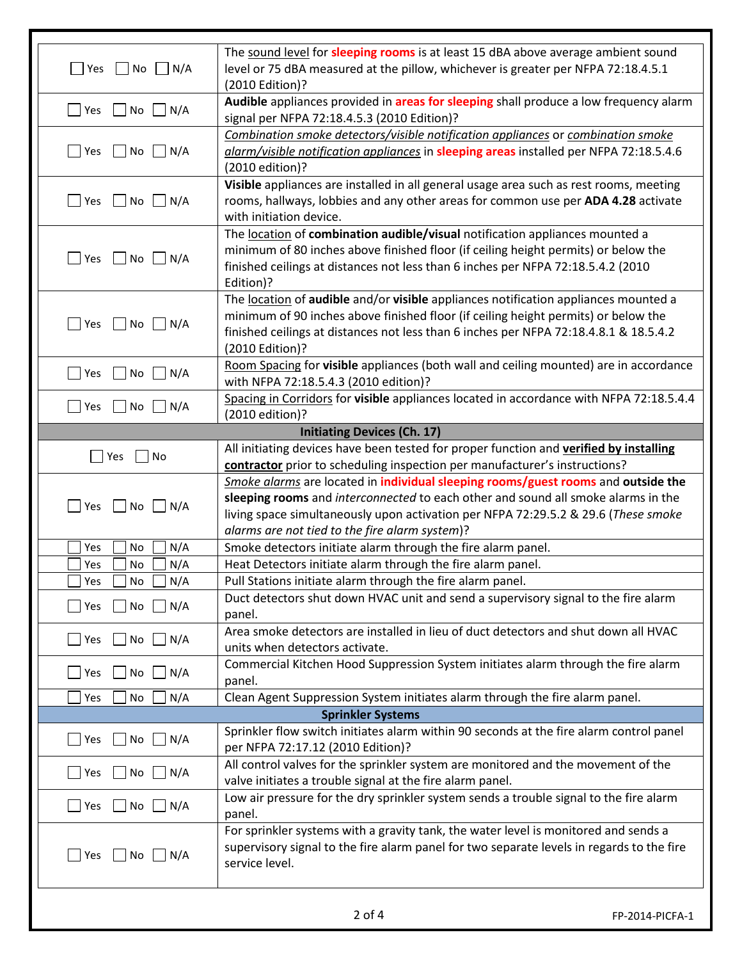|                                                        | The sound level for sleeping rooms is at least 15 dBA above average ambient sound         |
|--------------------------------------------------------|-------------------------------------------------------------------------------------------|
| $\Box$ No $\Box$ N/A<br><b>Pres</b>                    | level or 75 dBA measured at the pillow, whichever is greater per NFPA 72:18.4.5.1         |
|                                                        | (2010 Edition)?                                                                           |
| Yes<br>$\blacksquare$ No<br>$\bigcup N/A$              | Audible appliances provided in areas for sleeping shall produce a low frequency alarm     |
|                                                        | signal per NFPA 72:18.4.5.3 (2010 Edition)?                                               |
|                                                        | Combination smoke detectors/visible notification appliances or combination smoke          |
| $\Box$ Yes<br>$\blacksquare$ No<br>N/A                 | alarm/visible notification appliances in sleeping areas installed per NFPA 72:18.5.4.6    |
|                                                        | (2010 edition)?                                                                           |
|                                                        | Visible appliances are installed in all general usage area such as rest rooms, meeting    |
| $\Box$ Yes<br>$\Box$ No $\Box$ N/A                     | rooms, hallways, lobbies and any other areas for common use per ADA 4.28 activate         |
|                                                        | with initiation device.                                                                   |
|                                                        | The location of combination audible/visual notification appliances mounted a              |
| $\Box$ Yes $\Box$ No $\Box$ N/A                        | minimum of 80 inches above finished floor (if ceiling height permits) or below the        |
|                                                        | finished ceilings at distances not less than 6 inches per NFPA 72:18.5.4.2 (2010          |
|                                                        | Edition)?                                                                                 |
|                                                        | The location of audible and/or visible appliances notification appliances mounted a       |
|                                                        | minimum of 90 inches above finished floor (if ceiling height permits) or below the        |
| $\Box$ No<br>$\Box N/A$<br>Yes                         | finished ceilings at distances not less than 6 inches per NFPA 72:18.4.8.1 & 18.5.4.2     |
|                                                        | (2010 Edition)?                                                                           |
|                                                        | Room Spacing for visible appliances (both wall and ceiling mounted) are in accordance     |
| $\Box$ Yes<br>$\Box$ No $\Box$ N/A                     | with NFPA 72:18.5.4.3 (2010 edition)?                                                     |
|                                                        | Spacing in Corridors for visible appliances located in accordance with NFPA 72:18.5.4.4   |
| $\Box N/A$<br>$ $ Yes<br>$\overline{\phantom{a}}$ No   | (2010 edition)?                                                                           |
|                                                        | <b>Initiating Devices (Ch. 17)</b>                                                        |
|                                                        | All initiating devices have been tested for proper function and verified by installing    |
| $\sqsupset$ Yes<br>No                                  | contractor prior to scheduling inspection per manufacturer's instructions?                |
|                                                        | Smoke alarms are located in individual sleeping rooms/guest rooms and outside the         |
|                                                        | sleeping rooms and interconnected to each other and sound all smoke alarms in the         |
| $\Box$ No $\Box$ N/A<br>$ $ Yes                        | living space simultaneously upon activation per NFPA 72:29.5.2 & 29.6 (These smoke        |
|                                                        | alarms are not tied to the fire alarm system)?                                            |
| N/A<br>Yes<br>No                                       | Smoke detectors initiate alarm through the fire alarm panel.                              |
| N/A<br>Yes<br>No                                       | Heat Detectors initiate alarm through the fire alarm panel.                               |
| N/A<br>Yes<br>No                                       | Pull Stations initiate alarm through the fire alarm panel.                                |
|                                                        | Duct detectors shut down HVAC unit and send a supervisory signal to the fire alarm        |
| $\Box$ Yes<br>$\Box$ No<br>$\bigsqcup N/A$             | panel.                                                                                    |
|                                                        | Area smoke detectors are installed in lieu of duct detectors and shut down all HVAC       |
| $\Box$ Yes<br>$\Box$ N/A<br>$\Box$ No                  | units when detectors activate.                                                            |
|                                                        |                                                                                           |
| $\Box$ N/A<br>$\Box$ Yes<br>$\Box$ No                  | Commercial Kitchen Hood Suppression System initiates alarm through the fire alarm         |
|                                                        | panel.                                                                                    |
| N/A<br>Yes<br>No                                       | Clean Agent Suppression System initiates alarm through the fire alarm panel.              |
|                                                        | <b>Sprinkler Systems</b>                                                                  |
| $\Box$ N/A<br>$\Box$ Yes<br>No                         | Sprinkler flow switch initiates alarm within 90 seconds at the fire alarm control panel   |
|                                                        | per NFPA 72:17.12 (2010 Edition)?                                                         |
| $\Box$ Yes<br>$\Box$ No<br>$\Box N/A$                  | All control valves for the sprinkler system are monitored and the movement of the         |
|                                                        | valve initiates a trouble signal at the fire alarm panel.                                 |
| $\Box$ Yes $\Box$ No $\Box$ N/A                        | Low air pressure for the dry sprinkler system sends a trouble signal to the fire alarm    |
|                                                        | panel.                                                                                    |
|                                                        | For sprinkler systems with a gravity tank, the water level is monitored and sends a       |
| $\blacksquare$ Yes<br>$\Box$ No<br>$\vert$ $\vert$ N/A | supervisory signal to the fire alarm panel for two separate levels in regards to the fire |
|                                                        | service level.                                                                            |
|                                                        |                                                                                           |
|                                                        |                                                                                           |
|                                                        | $2$ of $4$<br>FP-2014-PICFA-1                                                             |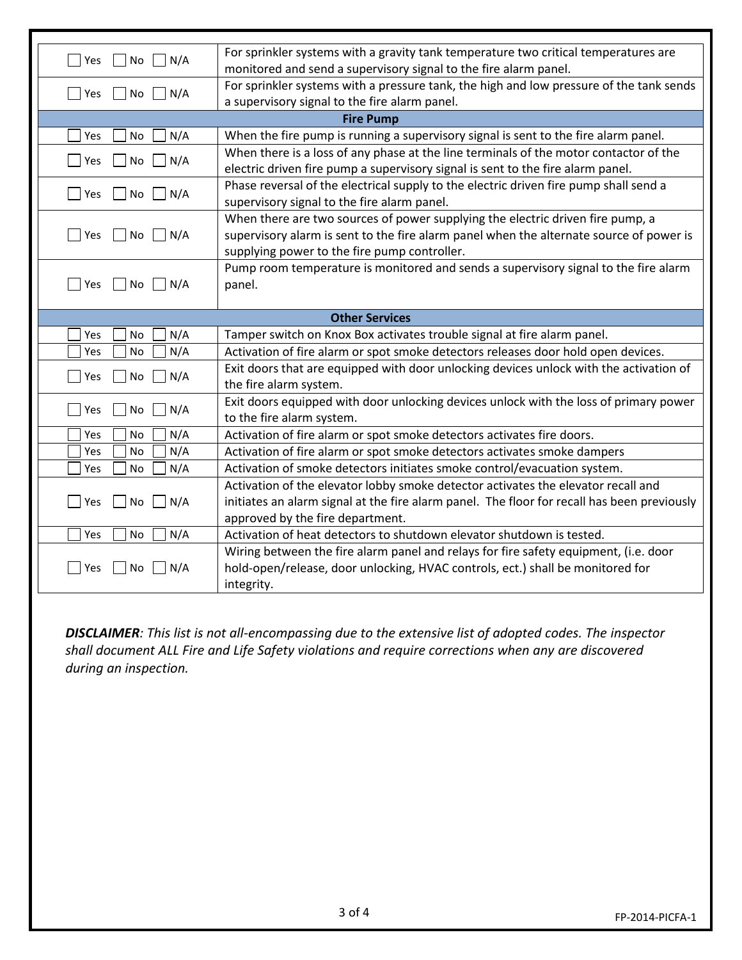| $ $ Yes<br>  No<br>N/A  | For sprinkler systems with a gravity tank temperature two critical temperatures are         |  |
|-------------------------|---------------------------------------------------------------------------------------------|--|
|                         | monitored and send a supervisory signal to the fire alarm panel.                            |  |
| No<br>N/A<br>Yes        | For sprinkler systems with a pressure tank, the high and low pressure of the tank sends     |  |
|                         | a supervisory signal to the fire alarm panel.                                               |  |
| <b>Fire Pump</b>        |                                                                                             |  |
| N/A<br>Yes<br><b>No</b> | When the fire pump is running a supervisory signal is sent to the fire alarm panel.         |  |
| N/A<br>Yes<br>No        | When there is a loss of any phase at the line terminals of the motor contactor of the       |  |
|                         | electric driven fire pump a supervisory signal is sent to the fire alarm panel.             |  |
| Yes<br>No<br>N/A        | Phase reversal of the electrical supply to the electric driven fire pump shall send a       |  |
|                         | supervisory signal to the fire alarm panel.                                                 |  |
|                         | When there are two sources of power supplying the electric driven fire pump, a              |  |
| No     N/A<br>Yes       | supervisory alarm is sent to the fire alarm panel when the alternate source of power is     |  |
|                         | supplying power to the fire pump controller.                                                |  |
|                         | Pump room temperature is monitored and sends a supervisory signal to the fire alarm         |  |
| N/A<br>Yes<br>No        | panel.                                                                                      |  |
|                         |                                                                                             |  |
| <b>Other Services</b>   |                                                                                             |  |
|                         |                                                                                             |  |
| N/A<br>Yes<br>No        | Tamper switch on Knox Box activates trouble signal at fire alarm panel.                     |  |
| N/A<br>No<br>Yes        | Activation of fire alarm or spot smoke detectors releases door hold open devices.           |  |
|                         | Exit doors that are equipped with door unlocking devices unlock with the activation of      |  |
| N/A<br>Yes<br>No        | the fire alarm system.                                                                      |  |
|                         | Exit doors equipped with door unlocking devices unlock with the loss of primary power       |  |
| N/A<br>Yes<br>No        | to the fire alarm system.                                                                   |  |
| N/A<br>Yes<br><b>No</b> | Activation of fire alarm or spot smoke detectors activates fire doors.                      |  |
| N/A<br>No<br>Yes        | Activation of fire alarm or spot smoke detectors activates smoke dampers                    |  |
| N/A<br>No<br>Yes        | Activation of smoke detectors initiates smoke control/evacuation system.                    |  |
|                         | Activation of the elevator lobby smoke detector activates the elevator recall and           |  |
| N/A<br>No<br>Yes        | initiates an alarm signal at the fire alarm panel. The floor for recall has been previously |  |
|                         | approved by the fire department.                                                            |  |
| N/A<br>Yes<br>No        | Activation of heat detectors to shutdown elevator shutdown is tested.                       |  |
|                         | Wiring between the fire alarm panel and relays for fire safety equipment, (i.e. door        |  |
| No<br>N/A<br>Yes        | hold-open/release, door unlocking, HVAC controls, ect.) shall be monitored for              |  |

**DISCLAIMER**: This list is not all-encompassing due to the extensive list of adopted codes. The inspector *shall document ALL Fire and Life Safety violations and require corrections when any are discovered during an inspection.*